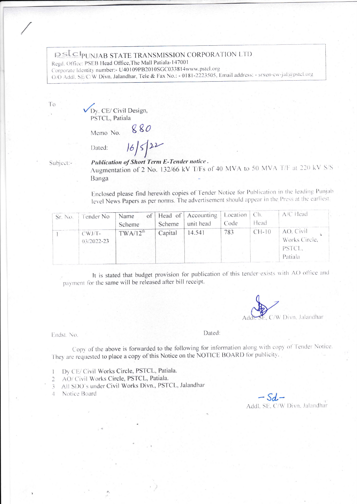## **PSLCPUNJAB STATE TRANSMISSION CORPORATION LTD**

Regd. Office: PSEB Head Office, The Mall Patiala-147001

Corporate Identity number:- U40109PB2010SGC033814www.pstcl.org

O/O Addl. SE/C/W Divn. Jalandhar, Tele & Fax No.: - 0181-2223505, Email address: - srxen-cw-jal@pstcl.org

To

Dy. CE/ Civil Design, PSTCL, Patiala

Memo No.  $880$  $16/5/22$ 

Dated:

Subject:-

Publication of Short Term E-Tender notice. Augmentation of 2 No. 132/66 kV T/Fs of 40 MVA to 50 MVA T/F at 220 kV S/S Banga

Enclosed please find herewith copies of Tender Notice for Publication in the leading Punjab level News Papers as per norms. The advertisement should appear in the Press at the earliest.

| Sr. No.   Tender No |                            | of<br>Name<br>Scheme | Scheme  | Head of Accounting<br>unit head | Location  <br>Code | Ch.<br>Head | $A/C$ Head                                      |
|---------------------|----------------------------|----------------------|---------|---------------------------------|--------------------|-------------|-------------------------------------------------|
|                     | $CWJ/T-$<br>$03/2022 - 23$ | $TWA/12^{th}$        | Capital | 14.541                          | 783                | $CH-10$     | AO. Civil<br>Works Circle,<br>PSTCL.<br>Patiala |

It is stated that budget provision for publication of this tender exists with AO office and payment for the same will be released after bill receipt.



Endst. No.

Dated:

Copy of the above is forwarded to the following for information along with copy of Tender Notice. They are requested to place a copy of this Notice on the NOTICE BOARD for publicity.

- 1 Dy CE/Civil Works Circle, PSTCL, Patiala.
- 2 AO/ Civil Works Circle, PSTCL, Patiala.
- 3 All SDO's under Civil Works Divn., PSTCL, Jalandhar
- 4 Notice Board

 $-Sd-$ <br>Addl. SE, C/W Divn, Jalandhar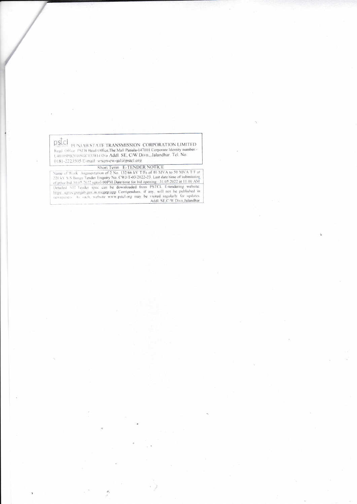pstcl

DSLCI<br>
PUNJAB STATE TRANSMISSION CORPORATION LIMITED<br>
Regd. Office PSEB Head Office,The Mall Patiala-147001 Corporate Identity number:-<br>
U40109PB2010SGC033814 O/o Addl. SE, C/W Divn., Jalandhar. Tel. No.<br>
0181-2223505 E-ma

0181-2223505 E-mail: srxen-cw-<sub>1</sub>al(*a*)pstc1.org<br>
Short Term E-TENDER NOTICE<br>
Name of Work Augmentation of 2 No. 132/66 kV T/Fs of 40 MVA to 50 MVA T/F at<br>
220 kV S S Banga Tender Enquiry No. CWJ/T-03/2022-23, Last date/t

 $\partial_{\lambda}$